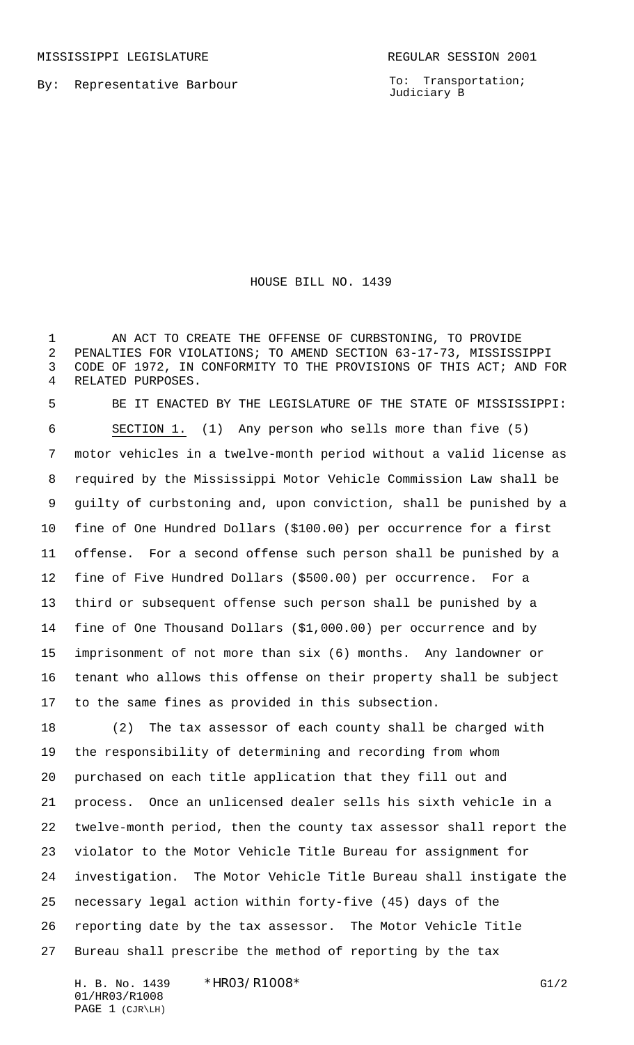MISSISSIPPI LEGISLATURE **REGULAR SESSION 2001** 

By: Representative Barbour

To: Transportation; Judiciary B

HOUSE BILL NO. 1439

1 AN ACT TO CREATE THE OFFENSE OF CURBSTONING, TO PROVIDE PENALTIES FOR VIOLATIONS; TO AMEND SECTION 63-17-73, MISSISSIPPI CODE OF 1972, IN CONFORMITY TO THE PROVISIONS OF THIS ACT; AND FOR RELATED PURPOSES.

 BE IT ENACTED BY THE LEGISLATURE OF THE STATE OF MISSISSIPPI: SECTION 1. (1) Any person who sells more than five (5) motor vehicles in a twelve-month period without a valid license as required by the Mississippi Motor Vehicle Commission Law shall be guilty of curbstoning and, upon conviction, shall be punished by a fine of One Hundred Dollars (\$100.00) per occurrence for a first offense. For a second offense such person shall be punished by a fine of Five Hundred Dollars (\$500.00) per occurrence. For a third or subsequent offense such person shall be punished by a fine of One Thousand Dollars (\$1,000.00) per occurrence and by imprisonment of not more than six (6) months. Any landowner or tenant who allows this offense on their property shall be subject to the same fines as provided in this subsection.

 (2) The tax assessor of each county shall be charged with the responsibility of determining and recording from whom purchased on each title application that they fill out and process. Once an unlicensed dealer sells his sixth vehicle in a twelve-month period, then the county tax assessor shall report the violator to the Motor Vehicle Title Bureau for assignment for investigation. The Motor Vehicle Title Bureau shall instigate the necessary legal action within forty-five (45) days of the reporting date by the tax assessor. The Motor Vehicle Title Bureau shall prescribe the method of reporting by the tax

H. B. No. 1439 \* HRO3/R1008 \* G1/2 01/HR03/R1008 PAGE 1 (CJR\LH)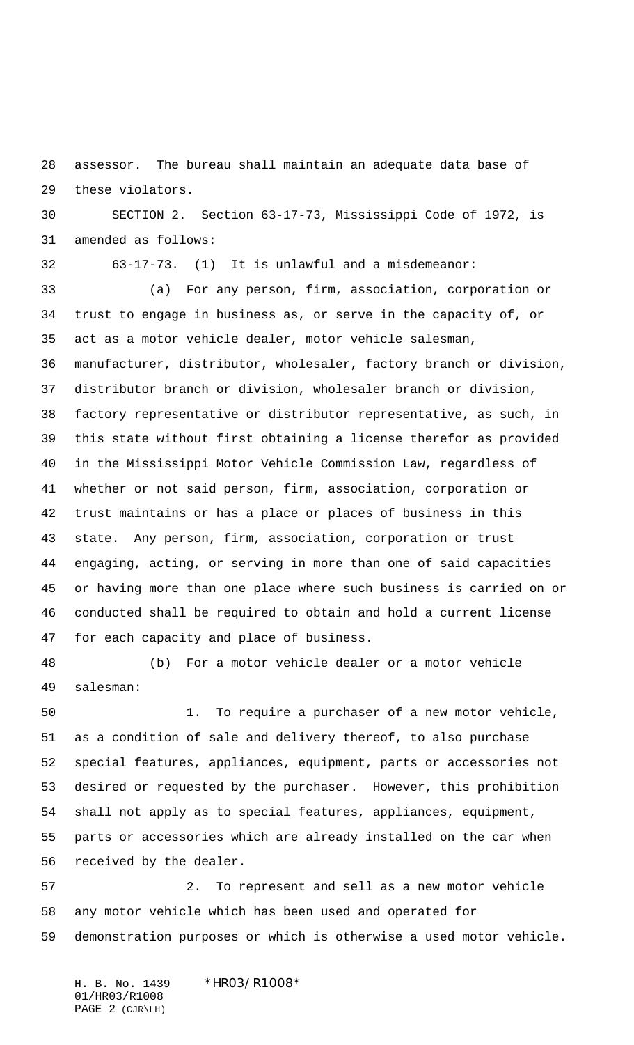assessor. The bureau shall maintain an adequate data base of these violators.

 SECTION 2. Section 63-17-73, Mississippi Code of 1972, is amended as follows:

63-17-73. (1) It is unlawful and a misdemeanor:

 (a) For any person, firm, association, corporation or trust to engage in business as, or serve in the capacity of, or act as a motor vehicle dealer, motor vehicle salesman, manufacturer, distributor, wholesaler, factory branch or division, distributor branch or division, wholesaler branch or division, factory representative or distributor representative, as such, in this state without first obtaining a license therefor as provided in the Mississippi Motor Vehicle Commission Law, regardless of whether or not said person, firm, association, corporation or trust maintains or has a place or places of business in this state. Any person, firm, association, corporation or trust engaging, acting, or serving in more than one of said capacities or having more than one place where such business is carried on or conducted shall be required to obtain and hold a current license for each capacity and place of business.

salesman:

(b) For a motor vehicle dealer or a motor vehicle

 1. To require a purchaser of a new motor vehicle, as a condition of sale and delivery thereof, to also purchase special features, appliances, equipment, parts or accessories not desired or requested by the purchaser. However, this prohibition shall not apply as to special features, appliances, equipment, parts or accessories which are already installed on the car when received by the dealer.

 2. To represent and sell as a new motor vehicle any motor vehicle which has been used and operated for demonstration purposes or which is otherwise a used motor vehicle.

H. B. No. 1439 \*HR03/R1008\* 01/HR03/R1008 PAGE 2 (CJR\LH)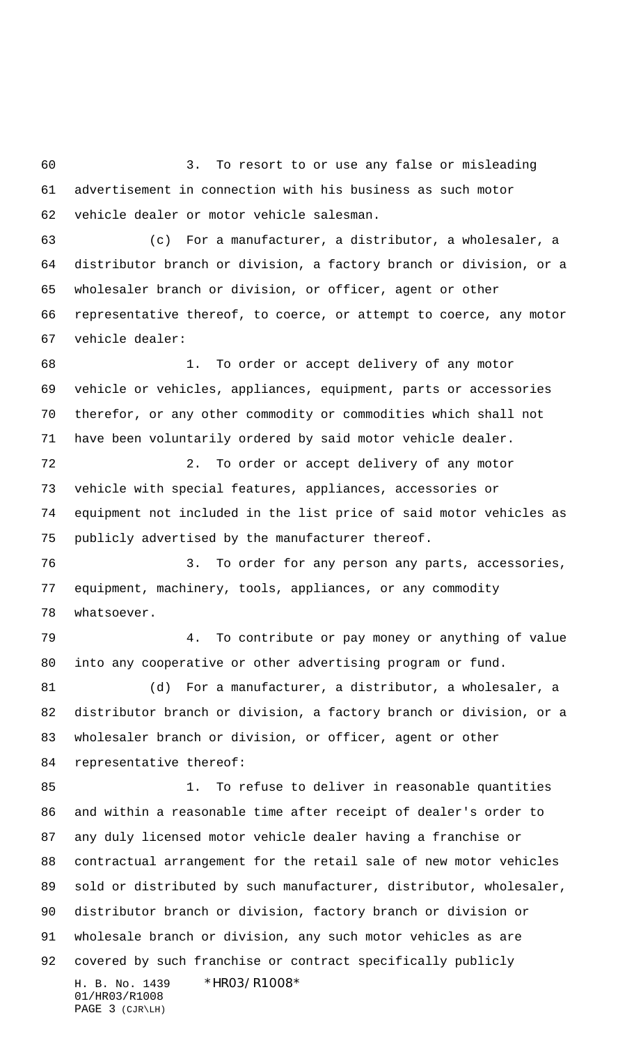3. To resort to or use any false or misleading advertisement in connection with his business as such motor vehicle dealer or motor vehicle salesman.

 (c) For a manufacturer, a distributor, a wholesaler, a distributor branch or division, a factory branch or division, or a wholesaler branch or division, or officer, agent or other representative thereof, to coerce, or attempt to coerce, any motor vehicle dealer:

 1. To order or accept delivery of any motor vehicle or vehicles, appliances, equipment, parts or accessories therefor, or any other commodity or commodities which shall not have been voluntarily ordered by said motor vehicle dealer.

 2. To order or accept delivery of any motor vehicle with special features, appliances, accessories or equipment not included in the list price of said motor vehicles as publicly advertised by the manufacturer thereof.

 3. To order for any person any parts, accessories, equipment, machinery, tools, appliances, or any commodity whatsoever.

 4. To contribute or pay money or anything of value into any cooperative or other advertising program or fund.

 (d) For a manufacturer, a distributor, a wholesaler, a distributor branch or division, a factory branch or division, or a wholesaler branch or division, or officer, agent or other representative thereof:

H. B. No. 1439 \*HR03/R1008\* 01/HR03/R1008 1. To refuse to deliver in reasonable quantities and within a reasonable time after receipt of dealer's order to any duly licensed motor vehicle dealer having a franchise or contractual arrangement for the retail sale of new motor vehicles sold or distributed by such manufacturer, distributor, wholesaler, distributor branch or division, factory branch or division or wholesale branch or division, any such motor vehicles as are covered by such franchise or contract specifically publicly

```
PAGE 3 (CJR\LH)
```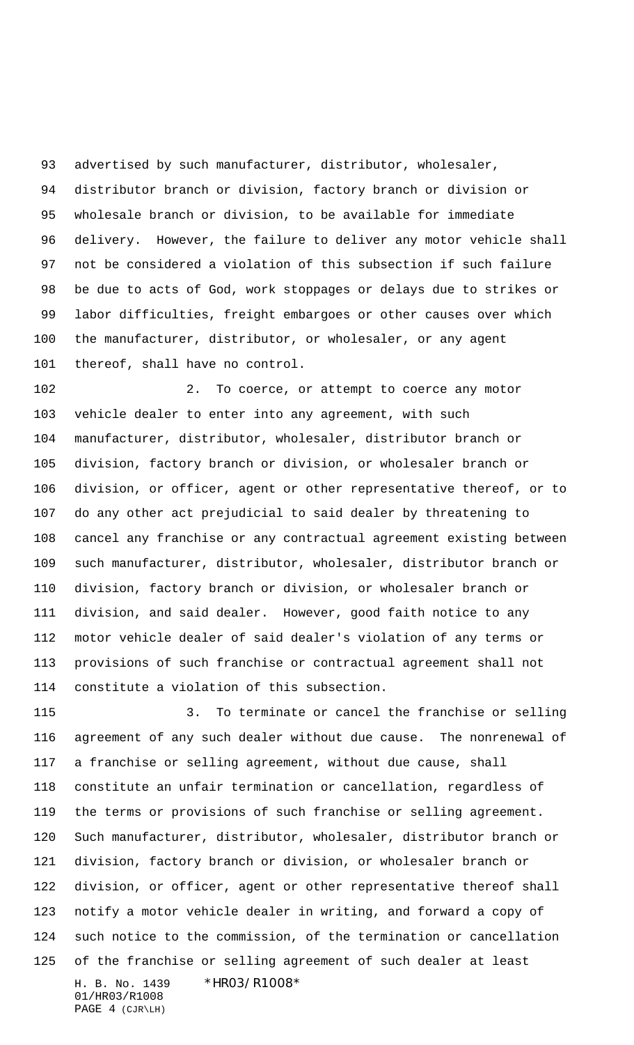93 advertised by such manufacturer, distributor, wholesaler, distributor branch or division, factory branch or division or wholesale branch or division, to be available for immediate delivery. However, the failure to deliver any motor vehicle shall not be considered a violation of this subsection if such failure be due to acts of God, work stoppages or delays due to strikes or labor difficulties, freight embargoes or other causes over which the manufacturer, distributor, or wholesaler, or any agent thereof, shall have no control.

 2. To coerce, or attempt to coerce any motor vehicle dealer to enter into any agreement, with such manufacturer, distributor, wholesaler, distributor branch or division, factory branch or division, or wholesaler branch or division, or officer, agent or other representative thereof, or to do any other act prejudicial to said dealer by threatening to cancel any franchise or any contractual agreement existing between such manufacturer, distributor, wholesaler, distributor branch or division, factory branch or division, or wholesaler branch or division, and said dealer. However, good faith notice to any motor vehicle dealer of said dealer's violation of any terms or provisions of such franchise or contractual agreement shall not constitute a violation of this subsection.

H. B. No. 1439 \*HR03/R1008\* 3. To terminate or cancel the franchise or selling agreement of any such dealer without due cause. The nonrenewal of a franchise or selling agreement, without due cause, shall constitute an unfair termination or cancellation, regardless of the terms or provisions of such franchise or selling agreement. Such manufacturer, distributor, wholesaler, distributor branch or division, factory branch or division, or wholesaler branch or division, or officer, agent or other representative thereof shall notify a motor vehicle dealer in writing, and forward a copy of such notice to the commission, of the termination or cancellation of the franchise or selling agreement of such dealer at least

01/HR03/R1008 PAGE 4 (CJR\LH)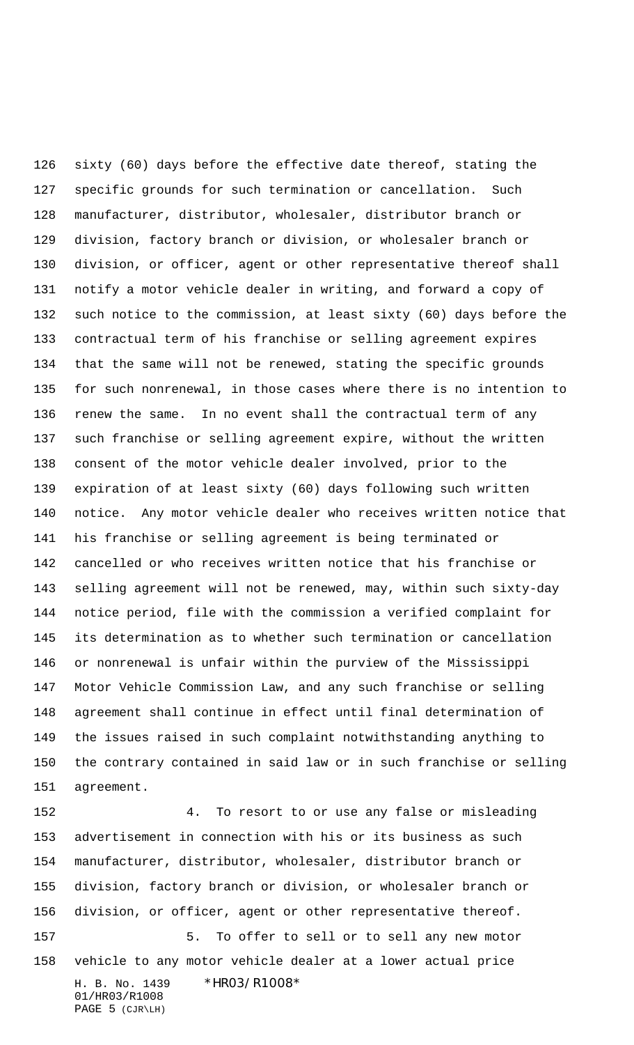sixty (60) days before the effective date thereof, stating the specific grounds for such termination or cancellation. Such manufacturer, distributor, wholesaler, distributor branch or division, factory branch or division, or wholesaler branch or division, or officer, agent or other representative thereof shall notify a motor vehicle dealer in writing, and forward a copy of such notice to the commission, at least sixty (60) days before the contractual term of his franchise or selling agreement expires that the same will not be renewed, stating the specific grounds for such nonrenewal, in those cases where there is no intention to renew the same. In no event shall the contractual term of any such franchise or selling agreement expire, without the written consent of the motor vehicle dealer involved, prior to the expiration of at least sixty (60) days following such written notice. Any motor vehicle dealer who receives written notice that his franchise or selling agreement is being terminated or cancelled or who receives written notice that his franchise or selling agreement will not be renewed, may, within such sixty-day notice period, file with the commission a verified complaint for its determination as to whether such termination or cancellation or nonrenewal is unfair within the purview of the Mississippi Motor Vehicle Commission Law, and any such franchise or selling agreement shall continue in effect until final determination of the issues raised in such complaint notwithstanding anything to the contrary contained in said law or in such franchise or selling agreement.

H. B. No. 1439 \*HR03/R1008\* 01/HR03/R1008 PAGE 5 (CJR\LH) 4. To resort to or use any false or misleading advertisement in connection with his or its business as such manufacturer, distributor, wholesaler, distributor branch or division, factory branch or division, or wholesaler branch or division, or officer, agent or other representative thereof. 5. To offer to sell or to sell any new motor vehicle to any motor vehicle dealer at a lower actual price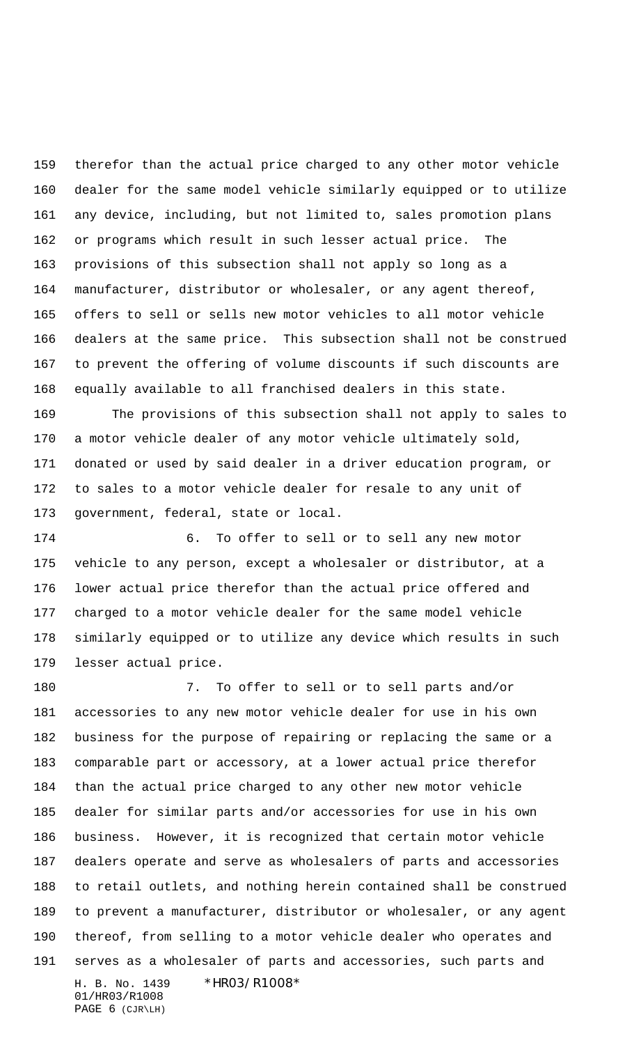therefor than the actual price charged to any other motor vehicle dealer for the same model vehicle similarly equipped or to utilize any device, including, but not limited to, sales promotion plans or programs which result in such lesser actual price. The provisions of this subsection shall not apply so long as a manufacturer, distributor or wholesaler, or any agent thereof, offers to sell or sells new motor vehicles to all motor vehicle dealers at the same price. This subsection shall not be construed to prevent the offering of volume discounts if such discounts are equally available to all franchised dealers in this state.

 The provisions of this subsection shall not apply to sales to a motor vehicle dealer of any motor vehicle ultimately sold, donated or used by said dealer in a driver education program, or to sales to a motor vehicle dealer for resale to any unit of government, federal, state or local.

 6. To offer to sell or to sell any new motor vehicle to any person, except a wholesaler or distributor, at a lower actual price therefor than the actual price offered and charged to a motor vehicle dealer for the same model vehicle similarly equipped or to utilize any device which results in such lesser actual price.

H. B. No. 1439 \*HR03/R1008\* 01/HR03/R1008 7. To offer to sell or to sell parts and/or accessories to any new motor vehicle dealer for use in his own business for the purpose of repairing or replacing the same or a comparable part or accessory, at a lower actual price therefor than the actual price charged to any other new motor vehicle dealer for similar parts and/or accessories for use in his own business. However, it is recognized that certain motor vehicle dealers operate and serve as wholesalers of parts and accessories to retail outlets, and nothing herein contained shall be construed to prevent a manufacturer, distributor or wholesaler, or any agent thereof, from selling to a motor vehicle dealer who operates and serves as a wholesaler of parts and accessories, such parts and

PAGE 6 (CJR\LH)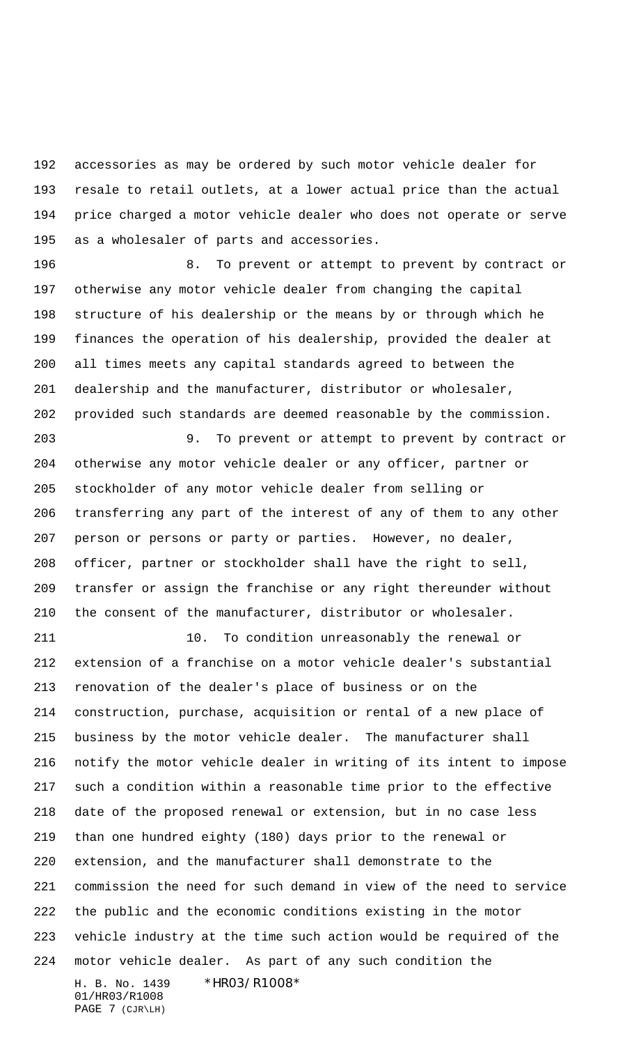accessories as may be ordered by such motor vehicle dealer for resale to retail outlets, at a lower actual price than the actual price charged a motor vehicle dealer who does not operate or serve as a wholesaler of parts and accessories.

196 6. To prevent or attempt to prevent by contract or otherwise any motor vehicle dealer from changing the capital structure of his dealership or the means by or through which he finances the operation of his dealership, provided the dealer at all times meets any capital standards agreed to between the dealership and the manufacturer, distributor or wholesaler, provided such standards are deemed reasonable by the commission.

 9. To prevent or attempt to prevent by contract or otherwise any motor vehicle dealer or any officer, partner or stockholder of any motor vehicle dealer from selling or transferring any part of the interest of any of them to any other person or persons or party or parties. However, no dealer, officer, partner or stockholder shall have the right to sell, transfer or assign the franchise or any right thereunder without the consent of the manufacturer, distributor or wholesaler.

H. B. No. 1439 \*HR03/R1008\* 10. To condition unreasonably the renewal or extension of a franchise on a motor vehicle dealer's substantial renovation of the dealer's place of business or on the construction, purchase, acquisition or rental of a new place of business by the motor vehicle dealer. The manufacturer shall notify the motor vehicle dealer in writing of its intent to impose such a condition within a reasonable time prior to the effective date of the proposed renewal or extension, but in no case less than one hundred eighty (180) days prior to the renewal or extension, and the manufacturer shall demonstrate to the commission the need for such demand in view of the need to service the public and the economic conditions existing in the motor vehicle industry at the time such action would be required of the motor vehicle dealer. As part of any such condition the

01/HR03/R1008 PAGE 7 (CJR\LH)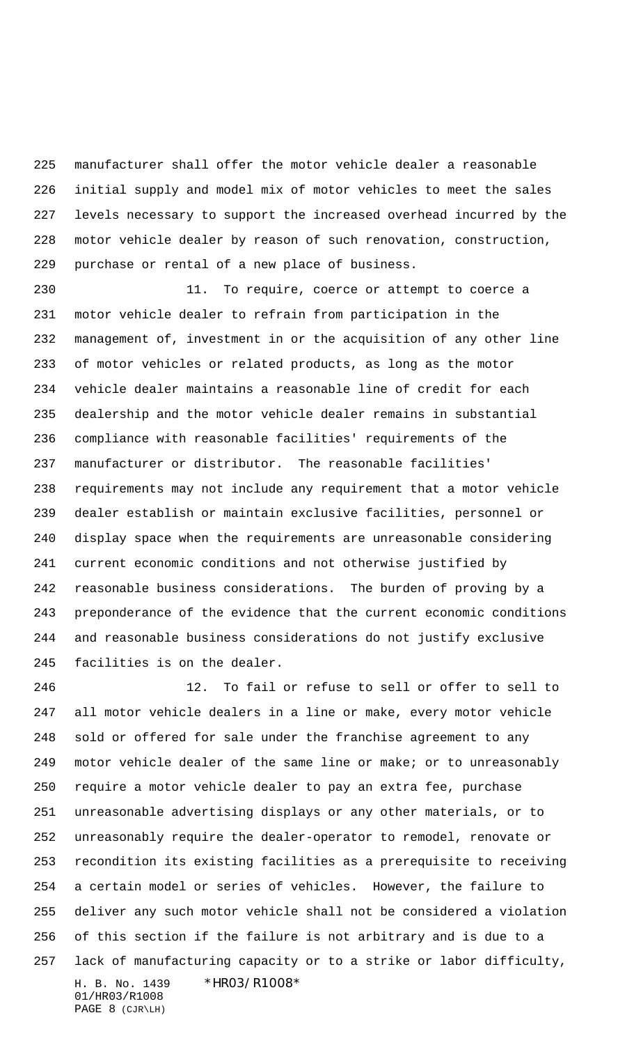manufacturer shall offer the motor vehicle dealer a reasonable initial supply and model mix of motor vehicles to meet the sales levels necessary to support the increased overhead incurred by the motor vehicle dealer by reason of such renovation, construction, purchase or rental of a new place of business.

 11. To require, coerce or attempt to coerce a motor vehicle dealer to refrain from participation in the management of, investment in or the acquisition of any other line of motor vehicles or related products, as long as the motor vehicle dealer maintains a reasonable line of credit for each dealership and the motor vehicle dealer remains in substantial compliance with reasonable facilities' requirements of the manufacturer or distributor. The reasonable facilities' requirements may not include any requirement that a motor vehicle dealer establish or maintain exclusive facilities, personnel or display space when the requirements are unreasonable considering current economic conditions and not otherwise justified by reasonable business considerations. The burden of proving by a preponderance of the evidence that the current economic conditions and reasonable business considerations do not justify exclusive facilities is on the dealer.

H. B. No. 1439 \*HR03/R1008\* 12. To fail or refuse to sell or offer to sell to all motor vehicle dealers in a line or make, every motor vehicle sold or offered for sale under the franchise agreement to any motor vehicle dealer of the same line or make; or to unreasonably require a motor vehicle dealer to pay an extra fee, purchase unreasonable advertising displays or any other materials, or to unreasonably require the dealer-operator to remodel, renovate or recondition its existing facilities as a prerequisite to receiving a certain model or series of vehicles. However, the failure to deliver any such motor vehicle shall not be considered a violation of this section if the failure is not arbitrary and is due to a lack of manufacturing capacity or to a strike or labor difficulty,

01/HR03/R1008 PAGE 8 (CJR\LH)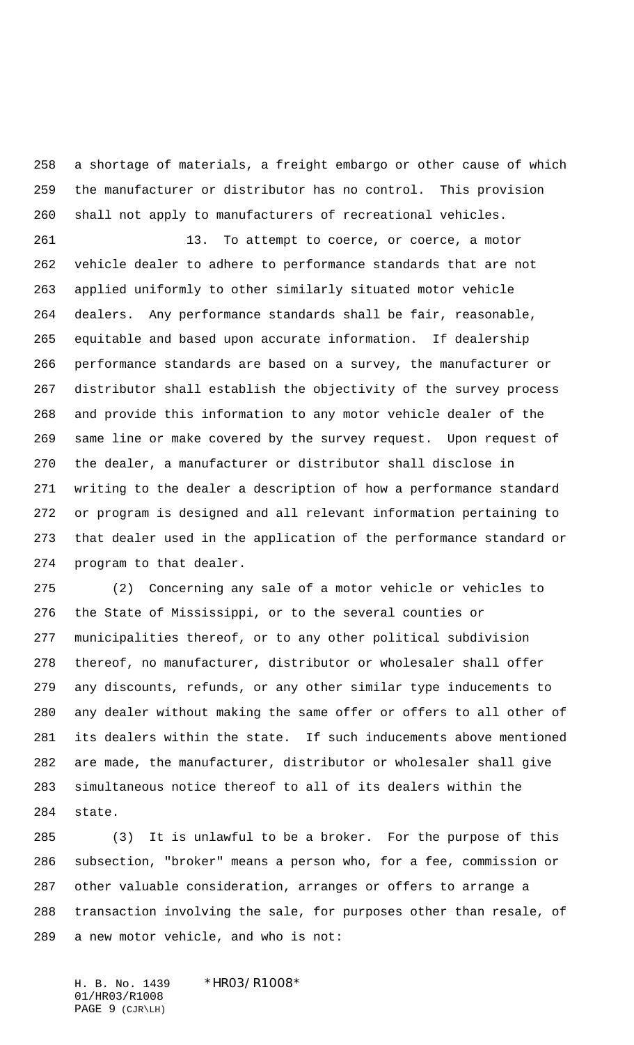a shortage of materials, a freight embargo or other cause of which the manufacturer or distributor has no control. This provision shall not apply to manufacturers of recreational vehicles.

 13. To attempt to coerce, or coerce, a motor vehicle dealer to adhere to performance standards that are not applied uniformly to other similarly situated motor vehicle dealers. Any performance standards shall be fair, reasonable, equitable and based upon accurate information. If dealership performance standards are based on a survey, the manufacturer or distributor shall establish the objectivity of the survey process and provide this information to any motor vehicle dealer of the same line or make covered by the survey request. Upon request of the dealer, a manufacturer or distributor shall disclose in writing to the dealer a description of how a performance standard or program is designed and all relevant information pertaining to that dealer used in the application of the performance standard or program to that dealer.

 (2) Concerning any sale of a motor vehicle or vehicles to the State of Mississippi, or to the several counties or municipalities thereof, or to any other political subdivision thereof, no manufacturer, distributor or wholesaler shall offer any discounts, refunds, or any other similar type inducements to any dealer without making the same offer or offers to all other of its dealers within the state. If such inducements above mentioned are made, the manufacturer, distributor or wholesaler shall give simultaneous notice thereof to all of its dealers within the state.

 (3) It is unlawful to be a broker. For the purpose of this subsection, "broker" means a person who, for a fee, commission or other valuable consideration, arranges or offers to arrange a transaction involving the sale, for purposes other than resale, of a new motor vehicle, and who is not:

H. B. No. 1439 \*HR03/R1008\* 01/HR03/R1008 PAGE 9 (CJR\LH)